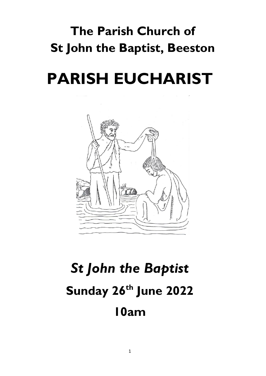# **The Parish Church of St John the Baptist, Beeston**

# **PARISH EUCHARIST**



# *St John the Baptist* **Sunday 26th June 2022 10am**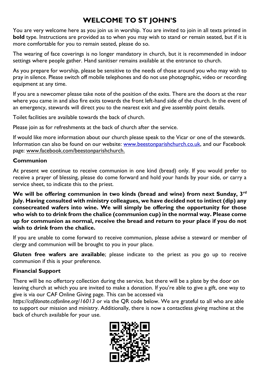### **WELCOME TO ST JOHN'S**

You are very welcome here as you join us in worship. You are invited to join in all texts printed in **bold** type. Instructions are provided as to when you may wish to stand or remain seated, but if it is more comfortable for you to remain seated, please do so.

The wearing of face coverings is no longer mandatory in church, but it is recommended in indoor settings where people gather. Hand sanitiser remains available at the entrance to church.

As you prepare for worship, please be sensitive to the needs of those around you who may wish to pray in silence. Please switch off mobile telephones and do not use photographic, video or recording equipment at any time.

If you are a newcomer please take note of the position of the exits. There are the doors at the rear where you came in and also fire exits towards the front left-hand side of the church. In the event of an emergency, stewards will direct you to the nearest exit and give assembly point details.

Toilet facilities are available towards the back of church.

Please join as for refreshments at the back of church after the service.

If would like more information about our church please speak to the Vicar or one of the stewards. Information can also be found on our website: [www.beestonparishchurch.co.uk,](http://www.beestonparishchurch.co.uk/) and our Facebook page: [www.facebook.com/beestonparishchurch.](http://www.facebook.com/beestonparishchurch)

#### **Communion**

At present we continue to receive communion in one kind (bread) only. If you would prefer to receive a prayer of blessing, please do come forward and hold your hands by your side, or carry a service sheet, to indicate this to the priest.

**We will be offering communion in two kinds (bread and wine) from next Sunday, 3rd July. Having consulted with ministry colleagues, we have decided not to intinct (dip) any consecreated wafers into wine. We will simply be offering the opportunity for those who wish to to drink from the chalice (communion cup) in the normal way. Please come up for communion as normal, receive the bread and return to your place if you do not wish to drink from the chalice.** 

If you are unable to come forward to receive communion, please advise a steward or member of clergy and communion will be brought to you in your place.

**Gluten free wafers are available**; please indicate to the priest as you go up to receive communion if this is your preference.

#### **Financial Support**

There will be no offertory collection during the service, but there will be a plate by the door on leaving church at which you are invited to make a donation. If you're able to give a gift, one way to give is via our CAF Online Giving page. This can be accessed via

*<https://cafdonate.cafonline.org/16013>* or via the QR code below. We are grateful to all who are able to support our mission and ministry. Additionally, there is now a contactless giving machine at the back of church available for your use.

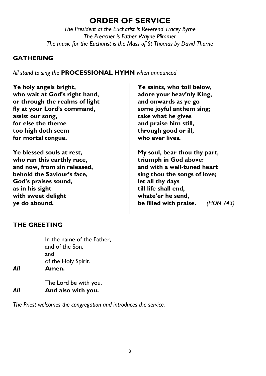## **ORDER OF SERVICE**

*The President at the Eucharist is Reverend Tracey Byrne The Preacher is Father Wayne Plimmer The music for the Eucharist is the Mass of St Thomas by David Thorne*

#### **GATHERING**

*All stand to sing the* **PROCESSIONAL HYMN** *when announced*

**Ye holy angels bright, who wait at God's right hand, or through the realms of light fly at your Lord's command, assist our song, for else the theme too high doth seem for mortal tongue.**

**Ye blessed souls at rest, who ran this earthly race, and now, from sin released, behold the Saviour's face, God's praises sound, as in his sight with sweet delight ye do abound.** 

**Ye saints, who toil below, adore your heav'nly King, and onwards as ye go some joyful anthem sing; take what he gives and praise him still, through good or ill, who ever lives.** 

**My soul, bear thou thy part, triumph in God above: and with a well-tuned heart sing thou the songs of love; let all thy days till life shall end, whate'er he send, be filled with praise.** *(HON 743)*

#### **THE GREETING**

*All* **Amen.**

| In the name of the Father, |  |
|----------------------------|--|
| and of the Son,            |  |
| and                        |  |
| of the Holy Spirit.        |  |
| Amen.                      |  |

|     | The Lord be with you. |
|-----|-----------------------|
| All | And also with you.    |

*The Priest welcomes the congregation and introduces the service.*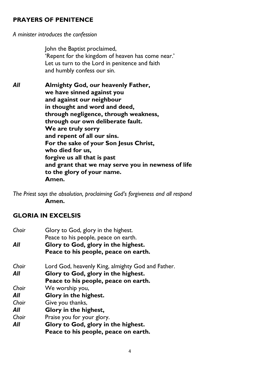#### **PRAYERS OF PENITENCE**

*A minister introduces the confession*

John the Baptist proclaimed, 'Repent for the kingdom of heaven has come near.' Let us turn to the Lord in penitence and faith and humbly confess our sin.

*All* **Almighty God, our heavenly Father, we have sinned against you and against our neighbour in thought and word and deed, through negligence, through weakness, through our own deliberate fault. We are truly sorry and repent of all our sins. For the sake of your Son Jesus Christ, who died for us, forgive us all that is past and grant that we may serve you in newness of life to the glory of your name. Amen.**

*The Priest says the absolution, proclaiming God's forgiveness and all respond* **Amen.**

#### **GLORIA IN EXCELSIS**

| Choir | Glory to God, glory in the highest.               |
|-------|---------------------------------------------------|
|       | Peace to his people, peace on earth.              |
| All   | Glory to God, glory in the highest.               |
|       | Peace to his people, peace on earth.              |
| Choir | Lord God, heavenly King, almighty God and Father. |
| All   | Glory to God, glory in the highest.               |
|       | Peace to his people, peace on earth.              |
| Choir | We worship you,                                   |
| All   | Glory in the highest.                             |
| Choir | Give you thanks,                                  |
| All   | Glory in the highest,                             |
| Choir | Praise you for your glory.                        |
| All   | Glory to God, glory in the highest.               |
|       | Peace to his people, peace on earth.              |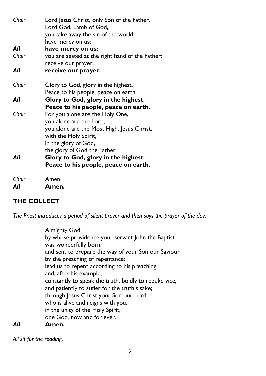| Choir | Lord Jesus Christ, only Son of the Father,<br>Lord God, Lamb of God, |
|-------|----------------------------------------------------------------------|
|       | you take away the sin of the world:                                  |
|       | have mercy on us;                                                    |
| All   | have mercy on us;                                                    |
| Choir | you are seated at the right hand of the Father:                      |
|       | receive our prayer,                                                  |
| All   | receive our prayer.                                                  |
| Choir | Glory to God, glory in the highest.                                  |
|       | Peace to his people, peace on earth.                                 |
| All   | Glory to God, glory in the highest.                                  |
|       | Peace to his people, peace on earth.                                 |
| Choir | For you alone are the Holy One,                                      |
|       | you alone are the Lord,                                              |
|       | you alone are the Most High, Jesus Christ,                           |
|       | with the Holy Spirit,                                                |
|       | in the glory of God,                                                 |
|       | the glory of God the Father.                                         |
| All   | Glory to God, glory in the highest.                                  |
|       | Peace to his people, peace on earth.                                 |
| Choir | Amen.                                                                |

*All* **Amen.**

#### **THE COLLECT**

*The Priest introduces a period of silent prayer and then says the prayer of the day.*

Almighty God, by whose providence your servant John the Baptist was wonderfully born, and sent to prepare the way of your Son our Saviour by the preaching of repentance: lead us to repent according to his preaching and, after his example, constantly to speak the truth, boldly to rebuke vice, and patiently to suffer for the truth's sake; through Jesus Christ your Son our Lord, who is alive and reigns with you, in the unity of the Holy Spirit, one God, now and for ever.

*All* **Amen.**

*All sit for the reading.*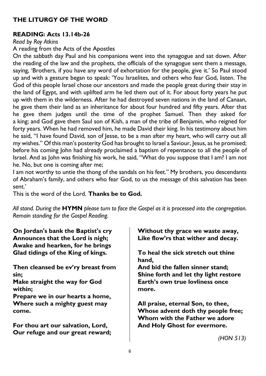#### **THE LITURGY OF THE WORD**

#### **READING: Acts 13.14b-26**

#### *Read by Roy Atkins*

A reading from the Acts of the Apostles

On the sabbath day Paul and his companions went into the synagogue and sat down. After the reading of the law and the prophets, the officials of the synagogue sent them a message, saying, 'Brothers, if you have any word of exhortation for the people, give it.' So Paul stood up and with a gesture began to speak: 'You Israelites, and others who fear God, listen. The God of this people Israel chose our ancestors and made the people great during their stay in the land of Egypt, and with uplifted arm he led them out of it. For about forty years he put up with them in the wilderness. After he had destroyed seven nations in the land of Canaan, he gave them their land as an inheritance for about four hundred and fifty years. After that he gave them judges until the time of the prophet Samuel. Then they asked for a king; and God gave them Saul son of Kish, a man of the tribe of Benjamin, who reigned for forty years. When he had removed him, he made David their king. In his testimony about him he said, "I have found David, son of Jesse, to be a man after my heart, who will carry out all my wishes." Of this man's posterity God has brought to Israel a Saviour, Jesus, as he promised; before his coming John had already proclaimed a baptism of repentance to all the people of Israel. And as John was finishing his work, he said, "What do you suppose that I am? I am not he. No, but one is coming after me;

I am not worthy to untie the thong of the sandals on his feet." My brothers, you descendants of Abraham's family, and others who fear God, to us the message of this salvation has been sent.'

This is the word of the Lord. **Thanks be to God.**

*All stand. During the* **HYMN** *please turn to face the Gospel as it is processed into the congregation. Remain standing for the Gospel Reading.*

| On Jordan's bank the Baptist's cry                                   | Without thy grace we waste away,                                                                         |
|----------------------------------------------------------------------|----------------------------------------------------------------------------------------------------------|
| Announces that the Lord is nigh;<br>Awake and hearken, for he brings | Like flow'rs that wither and decay.                                                                      |
| Glad tidings of the King of kings.                                   | To heal the sick stretch out thine<br>hand,                                                              |
| Then cleansed be ev'ry breast from<br>sin:                           | And bid the fallen sinner stand:<br>Shine forth and let thy light restore                                |
| Make straight the way for God<br>within;                             | Earth's own true lovliness once<br>more.                                                                 |
| Prepare we in our hearts a home,                                     |                                                                                                          |
| Where such a mighty guest may<br>come.                               | All praise, eternal Son, to thee,<br>Whose advent doth thy people free;<br>Whom with the Father we adore |
| For thou art our salvation, Lord,                                    | <b>And Holy Ghost for evermore.</b>                                                                      |
| Our refuge and our great reward;                                     |                                                                                                          |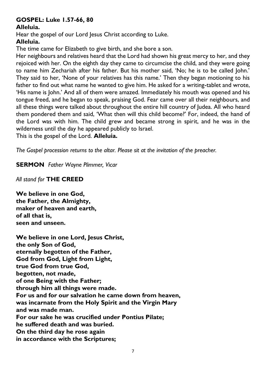#### **GOSPEL: Luke 1.57-66, 80**

#### **Alleluia.**

Hear the gospel of our Lord Jesus Christ according to Luke.

#### **Alleluia.**

The time came for Elizabeth to give birth, and she bore a son.

Her neighbours and relatives heard that the Lord had shown his great mercy to her, and they rejoiced with her. On the eighth day they came to circumcise the child, and they were going to name him Zechariah after his father. But his mother said, 'No; he is to be called John.' They said to her, 'None of your relatives has this name.' Then they began motioning to his father to find out what name he wanted to give him. He asked for a writing-tablet and wrote, 'His name is John.' And all of them were amazed. Immediately his mouth was opened and his tongue freed, and he began to speak, praising God. Fear came over all their neighbours, and all these things were talked about throughout the entire hill country of Judea. All who heard them pondered them and said, 'What then will this child become?' For, indeed, the hand of the Lord was with him. The child grew and became strong in spirit, and he was in the wilderness until the day he appeared publicly to Israel.

This is the gospel of the Lord. **Alleluia.**

*The Gospel procession returns to the altar. Please sit at the invitation of the preacher.*

**SERMON** *Father Wayne Plimmer, Vicar*

*All stand for* **THE CREED**

**We believe in one God, the Father, the Almighty, maker of heaven and earth, of all that is, seen and unseen.**

**We believe in one Lord, Jesus Christ, the only Son of God, eternally begotten of the Father, God from God, Light from Light, true God from true God, begotten, not made, of one Being with the Father; through him all things were made. For us and for our salvation he came down from heaven, was incarnate from the Holy Spirit and the Virgin Mary and was made man. For our sake he was crucified under Pontius Pilate; he suffered death and was buried. On the third day he rose again in accordance with the Scriptures;**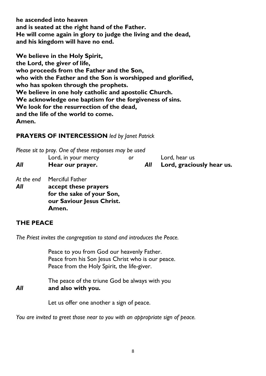**he ascended into heaven and is seated at the right hand of the Father. He will come again in glory to judge the living and the dead, and his kingdom will have no end.**

**We believe in the Holy Spirit, the Lord, the giver of life, who proceeds from the Father and the Son, who with the Father and the Son is worshipped and glorified, who has spoken through the prophets. We believe in one holy catholic and apostolic Church. We acknowledge one baptism for the forgiveness of sins. We look for the resurrection of the dead, and the life of the world to come. Amen.**

#### **PRAYERS OF INTERCESSION** *led by Janet Patrick*

|            | Please sit to pray. One of these responses may be used |               |     |                           |
|------------|--------------------------------------------------------|---------------|-----|---------------------------|
|            | Lord, in your mercy                                    | <sub>or</sub> |     | Lord, hear us             |
| All        | Hear our prayer.                                       |               | All | Lord, graciously hear us. |
| At the end | Merciful Father                                        |               |     |                           |
| All        | accept these prayers                                   |               |     |                           |
|            | for the sake of your Son,                              |               |     |                           |
|            | our Saviour Jesus Christ.                              |               |     |                           |
|            | Amen.                                                  |               |     |                           |

#### **THE PEACE**

*The Priest invites the congregation to stand and introduces the Peace.*

Peace to you from God our heavenly Father. Peace from his Son Jesus Christ who is our peace. Peace from the Holy Spirit, the life-giver.

The peace of the triune God be always with you *All* **and also with you.**

Let us offer one another a sign of peace.

*You are invited to greet those near to you with an appropriate sign of peace.*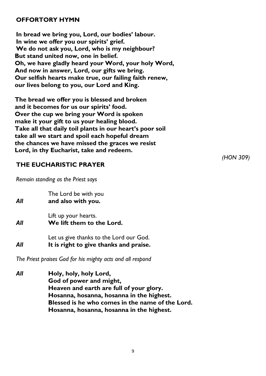#### **OFFORTORY HYMN**

**In bread we bring you, Lord, our bodies' labour. In wine we offer you our spirits' grief. We do not ask you, Lord, who is my neighbour? But stand united now, one in belief. Oh, we have gladly heard your Word, your holy Word, And now in answer, Lord, our gifts we bring. Our selfish hearts make true, our failing faith renew, our lives belong to you, our Lord and King.**

**The bread we offer you is blessed and broken and it becomes for us our spirits' food. Over the cup we bring your Word is spoken make it your gift to us your healing blood. Take all that daily toil plants in our heart's poor soil take all we start and spoil each hopeful dream the chances we have missed the graces we resist Lord, in thy Eucharist, take and redeem.**

#### **THE EUCHARISTIC PRAYER**

*Remain standing as the Priest says*

| All | The Lord be with you<br>and also with you.                                        |
|-----|-----------------------------------------------------------------------------------|
| All | Lift up your hearts.<br>We lift them to the Lord.                                 |
| All | Let us give thanks to the Lord our God.<br>It is right to give thanks and praise. |

*The Priest praises God for his mighty acts and all respond*

*All* **Holy, holy, holy Lord, God of power and might, Heaven and earth are full of your glory. Hosanna, hosanna, hosanna in the highest. Blessed is he who comes in the name of the Lord. Hosanna, hosanna, hosanna in the highest.**

*(HON 309)*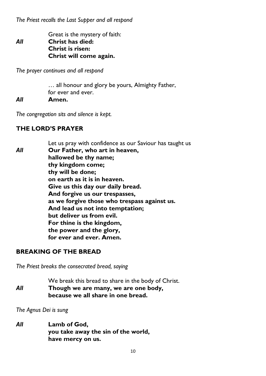*The Priest recalls the Last Supper and all respond*

|     | Great is the mystery of faith: |
|-----|--------------------------------|
| All | <b>Christ has died:</b>        |
|     | <b>Christ is risen:</b>        |
|     | Christ will come again.        |

*The prayer continues and all respond*

… all honour and glory be yours, Almighty Father, for ever and ever.

*All* **Amen.**

*The congregation sits and silence is kept.*

#### **THE LORD'S PRAYER**

Let us pray with confidence as our Saviour has taught us *All* **Our Father, who art in heaven, hallowed be thy name; thy kingdom come; thy will be done; on earth as it is in heaven. Give us this day our daily bread. And forgive us our trespasses, as we forgive those who trespass against us. And lead us not into temptation; but deliver us from evil. For thine is the kingdom, the power and the glory, for ever and ever. Amen.**

#### **BREAKING OF THE BREAD**

*The Priest breaks the consecrated bread, saying*

We break this bread to share in the body of Christ. *All* **Though we are many, we are one body, because we all share in one bread.**

*The Agnus Dei is sung*

*All* **Lamb of God, you take away the sin of the world, have mercy on us.**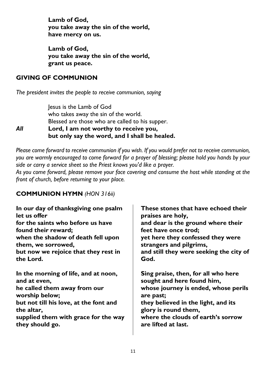**Lamb of God, you take away the sin of the world, have mercy on us.**

**Lamb of God, you take away the sin of the world, grant us peace.**

#### **GIVING OF COMMUNION**

*The president invites the people to receive communion, saying*

|     | but only say the word, and I shall be healed.   |
|-----|-------------------------------------------------|
| All | Lord, I am not worthy to receive you,           |
|     | Blessed are those who are called to his supper. |
|     | who takes away the sin of the world.            |
|     | Jesus is the Lamb of God                        |
|     |                                                 |

*Please come forward to receive communion if you wish. If you would prefer not to receive communion, you are warmly encouraged to come forward for a prayer of blessing; please hold you hands by your side or carry a service sheet so the Priest knows you'd like a prayer.*

*As you come forward, please remove your face covering and consume the host while standing at the front of church, before returning to your place.*

#### **COMMUNION HYMN** *(HON 316ii)*

| In our day of thanksgiving one psalm   | These stones that have echoed their     |
|----------------------------------------|-----------------------------------------|
| let us offer                           | praises are holy,                       |
| for the saints who before us have      | and dear is the ground where their      |
| found their reward;                    | feet have once trod;                    |
| when the shadow of death fell upon     | yet here they confessed they were       |
| them, we sorrowed,                     | strangers and pilgrims,                 |
| but now we rejoice that they rest in   | and still they were seeking the city of |
| the Lord.                              | God.                                    |
| In the morning of life, and at noon,   | Sing praise, then, for all who here     |
| and at even,                           | sought and here found him,              |
| he called them away from our           | whose journey is ended, whose perils    |
| worship below;                         | are past;                               |
| but not till his love, at the font and | they believed in the light, and its     |
| the altar,                             | glory is round them,                    |
| supplied them with grace for the way   | where the clouds of earth's sorrow      |
| they should go.                        | are lifted at last.                     |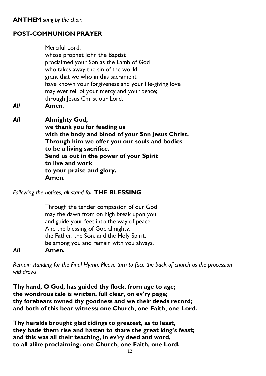#### **POST-COMMUNION PRAYER**

| All | Merciful Lord,<br>whose prophet John the Baptist<br>proclaimed your Son as the Lamb of God<br>who takes away the sin of the world:<br>grant that we who in this sacrament<br>have known your forgiveness and your life-giving love<br>may ever tell of your mercy and your peace;<br>through Jesus Christ our Lord.<br>Amen. |
|-----|------------------------------------------------------------------------------------------------------------------------------------------------------------------------------------------------------------------------------------------------------------------------------------------------------------------------------|
|     |                                                                                                                                                                                                                                                                                                                              |
| All | <b>Almighty God,</b><br>we thank you for feeding us<br>with the body and blood of your Son Jesus Christ.<br>Through him we offer you our souls and bodies<br>to be a living sacrifice.<br>Send us out in the power of your Spirit<br>to live and work<br>to your praise and glory.<br>Amen.                                  |

*Following the notices, all stand for* **THE BLESSING**

Through the tender compassion of our God may the dawn from on high break upon you and guide your feet into the way of peace. And the blessing of God almighty, the Father, the Son, and the Holy Spirit, be among you and remain with you always. *All* **Amen.**

*Remain standing for the Final Hymn. Please turn to face the back of church as the procession withdraws.*

**Thy hand, O God, has guided thy flock, from age to age; the wondrous tale is written, full clear, on ev'ry page; thy forebears owned thy goodness and we their deeds record; and both of this bear witness: one Church, one Faith, one Lord.**

**Thy heralds brought glad tidings to greatest, as to least, they bade them rise and hasten to share the great king's feast; and this was all their teaching, in ev'ry deed and word, to all alike proclaiming: one Church, one Faith, one Lord.**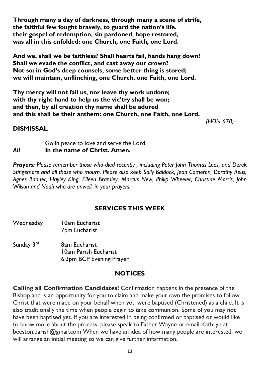**Through many a day of darkness, through many a scene of strife, the faithful few fought bravely, to guard the nation's life. their gospel of redemption, sin pardoned, hope restored, was all in this enfolded: one Church, one Faith, one Lord.**

**And we, shall we be faithless? Shall hearts fail, hands hang down? Shall we evade the conflict, and cast away our crown? Not so: in God's deep counsels, some better thing is stored; we will maintain, unflinching, one Church, one Faith, one Lord.**

**Thy mercy will not fail us, nor leave thy work undone; with thy right hand to help us the vic'try shall be won; and then, by all creation thy name shall be adored and this shall be their anthem: one Church, one Faith, one Lord.**

*(HON 678)*

#### **DISMISSAL**

Go in peace to love and serve the Lord. *All* **In the name of Christ. Amen.**

*Prayers: Please remember those who died recently , including Peter John Thomas Lees, and Derek Stingemore and all those who mourn. Please also keep Sally Baldock, Jean Cameron, Dorothy Reus, Agnes Banner, Hayley King, Eileen Bramley, Marcus New, Philip Wheeler, Christine Morris, John Wilson and Noah who are unwell, in your prayers.*

#### **SERVICES THIS WEEK**

- Wednesday 10am Eucharist 7pm Eucharist
- Sunday 3rd 8am Eucharist 10am Parish Eucharist 6:3pm BCP Evening Prayer

#### **NOTICES**

**Calling all Confirmation Candidates!** Confirmation happens in the presence of the Bishop and is an opportunity for you to claim and make your own the promises to follow Christ that were made on your behalf when you were baptised (Christened) as a child. It is also traditionally the time when people begin to take communion. Some of you may not have been baptised yet. If you are interested in being confirmed or baptised or would like to know more about the process, please speak to Father Wayne or email Kathryn at beeston.parish@gmail.com When we have an idea of how many people are interested, we will arrange an initial meeting so we can give further information.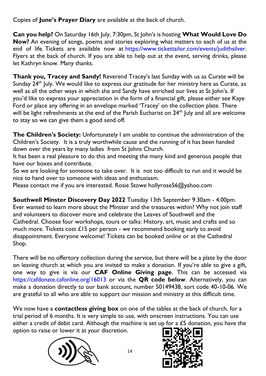Copies of **June's Prayer Diary** are available at the back of church.

**Can you help?** On Saturday 16th July, 7:30pm, St John's is hosting **What Would Love Do Now?** An evening of songs, poems and stories exploring what matters to each of us at the end of life. Tickets are available now at [https://www.tickettailor.com/events/judithsilver.](https://beestonparishchurch.us19.list-manage.com/track/click?u=2c1a11c83f85520586cc09955&id=90d6a2c441&e=f18c2c69cd) Flyers at the back of church. If you are able to help out at the event, serving drinks, please let Kathryn know. Many thanks.

**Thank you, Tracey and Sandy!** Reverend Tracey's last Sunday with us as Curate will be Sunday 24<sup>th</sup> July. We would like to express our gratitude for her ministry here as Curate, as well as all the other ways in which she and Sandy have enriched our lives at St John's. If you'd like to express your appreciation in the form of a financial gift, please either see Kaye Ford or place any offering in an envelope marked 'Tracey' on the collection plate. There will be light refreshments at the end of the Parish Eucharist on 24<sup>th</sup> July and all are welcome to stay so we can give them a good send off.

**The Children's Society:** Unfortunately I am unable to continue the administration of the Children's Society. It is a truly worthwhile cause and the running of it has been handed down over the years by many ladies from St Johns Church.

It has been a real pleasure to do this and meeting the many kind and generous people that have our boxes and contribute.

So we are looking for someone to take over. It is not too difficult to run and it would be nice to hand over to someone with ideas and enthusiasm.

Please contact me if you are interested. Rosie Stowe hollyrose56@yahoo.com

**Southwell Minster Discovery Day 2022** Tuesday 13th September 9.30am - 4.00pm. Ever wanted to learn more about the Minster and the treasures within? Why not join staff and volunteers to discover more and celebrate the Leaves of Southwell and the Cathedral. Choose four workshops, tours or talks: History, art, music and crafts and so much more. Tickets cost £15 per person - we recommend booking early to avoid disappointment. Everyone welcome! Tickets can be booked online or at the Cathedral Shop.

There will be no offertory collection during the service, but there will be a plate by the door on leaving church at which you are invited to make a donation. If you're able to give a gift, one way to give is via our **CAF Online Giving page**. This can be accessed via <https://cafdonate.cafonline.org/16013> or via the **QR code below**. Alternatively, you can make a donation directly to our bank account, number 50149438, sort code 40-10-06. We are grateful to all who are able to support our mission and ministry at this difficult time.

We now have a **contactless giving box** on one of the tables at the back of church, for a trial period of 6 months. It is very simple to use, with onscreen instructions. You can use either a credit of debit card. Although the machine is set up for a  $£5$  donation, you have the option to raise or lower it at your discretion.



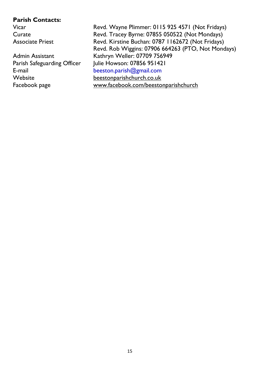#### **Parish Contacts:**

Vicar Revd. Wayne Plimmer: 0115 925 4571 (Not Fridays) Curate Revd. Tracey Byrne: 07855 050522 (Not Mondays) Associate Priest Revd. Kirstine Buchan: 0787 1162672 (Not Fridays) Revd. Rob Wiggins: 07906 664263 (PTO, Not Mondays) Admin Assistant Kathryn Weller: 07709 756949 Parish Safeguarding Officer Julie Howson: 07856 951421 E-mail [beeston.parish@gmail.com](mailto:beeston.parish@gmail.com) Website beestonparishchurch.co.uk Facebook page [www.facebook.com/beestonparishchurch](http://www.facebook.com/beestonparishchurch)